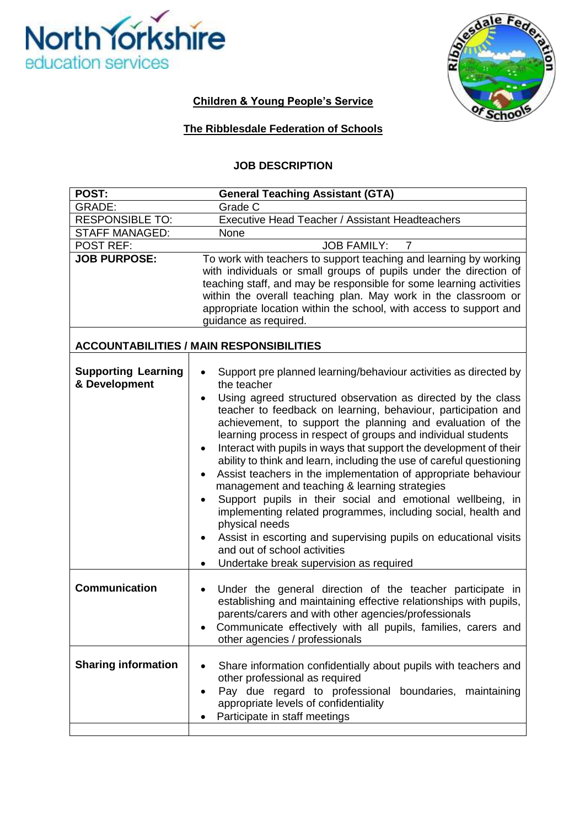



## **Children & Young People's Service**

## **The Ribblesdale Federation of Schools**

#### **JOB DESCRIPTION**

| POST:                                           | <b>General Teaching Assistant (GTA)</b>                                                                                                                                                                                                                                                                                                                                                                                                                                                                                                                                                                                                                                                                                                                                                                                                                                                                               |  |  |
|-------------------------------------------------|-----------------------------------------------------------------------------------------------------------------------------------------------------------------------------------------------------------------------------------------------------------------------------------------------------------------------------------------------------------------------------------------------------------------------------------------------------------------------------------------------------------------------------------------------------------------------------------------------------------------------------------------------------------------------------------------------------------------------------------------------------------------------------------------------------------------------------------------------------------------------------------------------------------------------|--|--|
| <b>GRADE:</b>                                   | Grade C                                                                                                                                                                                                                                                                                                                                                                                                                                                                                                                                                                                                                                                                                                                                                                                                                                                                                                               |  |  |
| <b>RESPONSIBLE TO:</b>                          | Executive Head Teacher / Assistant Headteachers                                                                                                                                                                                                                                                                                                                                                                                                                                                                                                                                                                                                                                                                                                                                                                                                                                                                       |  |  |
| <b>STAFF MANAGED:</b>                           | None                                                                                                                                                                                                                                                                                                                                                                                                                                                                                                                                                                                                                                                                                                                                                                                                                                                                                                                  |  |  |
| <b>POST REF:</b>                                | <b>JOB FAMILY:</b><br>7                                                                                                                                                                                                                                                                                                                                                                                                                                                                                                                                                                                                                                                                                                                                                                                                                                                                                               |  |  |
| <b>JOB PURPOSE:</b>                             | To work with teachers to support teaching and learning by working<br>with individuals or small groups of pupils under the direction of<br>teaching staff, and may be responsible for some learning activities<br>within the overall teaching plan. May work in the classroom or<br>appropriate location within the school, with access to support and<br>guidance as required.                                                                                                                                                                                                                                                                                                                                                                                                                                                                                                                                        |  |  |
| <b>ACCOUNTABILITIES / MAIN RESPONSIBILITIES</b> |                                                                                                                                                                                                                                                                                                                                                                                                                                                                                                                                                                                                                                                                                                                                                                                                                                                                                                                       |  |  |
| <b>Supporting Learning</b><br>& Development     | Support pre planned learning/behaviour activities as directed by<br>the teacher<br>Using agreed structured observation as directed by the class<br>teacher to feedback on learning, behaviour, participation and<br>achievement, to support the planning and evaluation of the<br>learning process in respect of groups and individual students<br>Interact with pupils in ways that support the development of their<br>٠<br>ability to think and learn, including the use of careful questioning<br>Assist teachers in the implementation of appropriate behaviour<br>management and teaching & learning strategies<br>Support pupils in their social and emotional wellbeing, in<br>implementing related programmes, including social, health and<br>physical needs<br>Assist in escorting and supervising pupils on educational visits<br>and out of school activities<br>Undertake break supervision as required |  |  |
| <b>Communication</b>                            | Under the general direction of the teacher participate in<br>٠<br>establishing and maintaining effective relationships with pupils,<br>parents/carers and with other agencies/professionals<br>Communicate effectively with all pupils, families, carers and<br>other agencies / professionals                                                                                                                                                                                                                                                                                                                                                                                                                                                                                                                                                                                                                        |  |  |
| <b>Sharing information</b>                      | Share information confidentially about pupils with teachers and<br>other professional as required<br>Pay due regard to professional<br>boundaries, maintaining<br>appropriate levels of confidentiality<br>Participate in staff meetings                                                                                                                                                                                                                                                                                                                                                                                                                                                                                                                                                                                                                                                                              |  |  |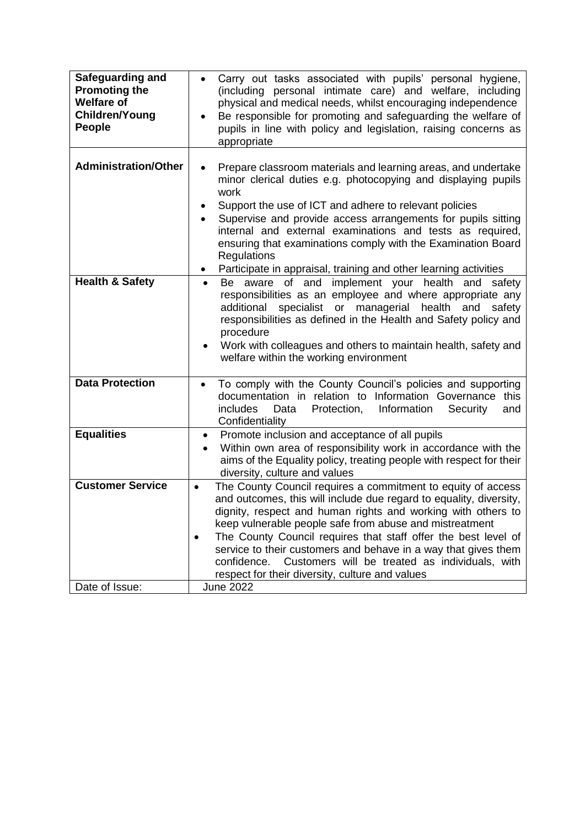| Safeguarding and<br><b>Promoting the</b><br><b>Welfare of</b><br><b>Children/Young</b><br>People | Carry out tasks associated with pupils' personal hygiene,<br>(including personal intimate care) and welfare, including<br>physical and medical needs, whilst encouraging independence<br>Be responsible for promoting and safeguarding the welfare of<br>pupils in line with policy and legislation, raising concerns as<br>appropriate                                                                                                                                                                                                         |
|--------------------------------------------------------------------------------------------------|-------------------------------------------------------------------------------------------------------------------------------------------------------------------------------------------------------------------------------------------------------------------------------------------------------------------------------------------------------------------------------------------------------------------------------------------------------------------------------------------------------------------------------------------------|
| <b>Administration/Other</b>                                                                      | Prepare classroom materials and learning areas, and undertake<br>minor clerical duties e.g. photocopying and displaying pupils<br>work<br>Support the use of ICT and adhere to relevant policies<br>٠<br>Supervise and provide access arrangements for pupils sitting<br>internal and external examinations and tests as required,<br>ensuring that examinations comply with the Examination Board<br>Regulations<br>Participate in appraisal, training and other learning activities                                                           |
| <b>Health &amp; Safety</b>                                                                       | implement your health and<br>aware of and<br>Be<br>safety<br>$\bullet$<br>responsibilities as an employee and where appropriate any<br>specialist or managerial health and<br>additional<br>safety<br>responsibilities as defined in the Health and Safety policy and<br>procedure<br>Work with colleagues and others to maintain health, safety and<br>welfare within the working environment                                                                                                                                                  |
| <b>Data Protection</b>                                                                           | To comply with the County Council's policies and supporting<br>documentation in relation to Information Governance this<br>Data<br>Information<br><i>includes</i><br>Protection,<br>Security<br>and<br>Confidentiality                                                                                                                                                                                                                                                                                                                          |
| <b>Equalities</b>                                                                                | Promote inclusion and acceptance of all pupils<br>٠<br>Within own area of responsibility work in accordance with the<br>aims of the Equality policy, treating people with respect for their<br>diversity, culture and values                                                                                                                                                                                                                                                                                                                    |
| <b>Customer Service</b>                                                                          | The County Council requires a commitment to equity of access<br>$\bullet$<br>and outcomes, this will include due regard to equality, diversity,<br>dignity, respect and human rights and working with others to<br>keep vulnerable people safe from abuse and mistreatment<br>The County Council requires that staff offer the best level of<br>$\bullet$<br>service to their customers and behave in a way that gives them<br>Customers will be treated as individuals, with<br>confidence.<br>respect for their diversity, culture and values |
| Date of Issue:                                                                                   | <b>June 2022</b>                                                                                                                                                                                                                                                                                                                                                                                                                                                                                                                                |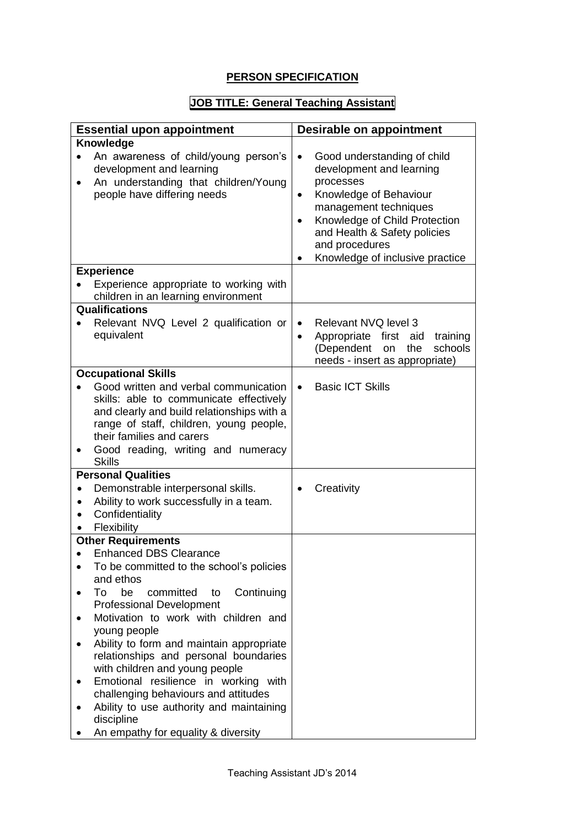## **PERSON SPECIFICATION**

# **JOB TITLE: General Teaching Assistant**

| <b>Essential upon appointment</b>                                                                                                                                                                                                                                                  | <b>Desirable on appointment</b>                                                                                                                                                                                                                                         |
|------------------------------------------------------------------------------------------------------------------------------------------------------------------------------------------------------------------------------------------------------------------------------------|-------------------------------------------------------------------------------------------------------------------------------------------------------------------------------------------------------------------------------------------------------------------------|
| <b>Knowledge</b>                                                                                                                                                                                                                                                                   |                                                                                                                                                                                                                                                                         |
| An awareness of child/young person's<br>development and learning<br>An understanding that children/Young<br>people have differing needs                                                                                                                                            | Good understanding of child<br>$\bullet$<br>development and learning<br>processes<br>Knowledge of Behaviour<br>$\bullet$<br>management techniques<br>Knowledge of Child Protection<br>and Health & Safety policies<br>and procedures<br>Knowledge of inclusive practice |
| <b>Experience</b>                                                                                                                                                                                                                                                                  |                                                                                                                                                                                                                                                                         |
| Experience appropriate to working with<br>children in an learning environment                                                                                                                                                                                                      |                                                                                                                                                                                                                                                                         |
| Qualifications                                                                                                                                                                                                                                                                     |                                                                                                                                                                                                                                                                         |
| Relevant NVQ Level 2 qualification or<br>equivalent                                                                                                                                                                                                                                | Relevant NVQ level 3<br>$\bullet$<br>Appropriate first aid<br>training<br>$\bullet$<br>(Dependent<br>schools<br>the<br>on<br>needs - insert as appropriate)                                                                                                             |
| <b>Occupational Skills</b>                                                                                                                                                                                                                                                         |                                                                                                                                                                                                                                                                         |
| Good written and verbal communication<br>skills: able to communicate effectively<br>and clearly and build relationships with a<br>range of staff, children, young people,<br>their families and carers<br>Good reading, writing and numeracy<br><b>Skills</b>                      | <b>Basic ICT Skills</b><br>$\bullet$                                                                                                                                                                                                                                    |
| <b>Personal Qualities</b>                                                                                                                                                                                                                                                          |                                                                                                                                                                                                                                                                         |
| Demonstrable interpersonal skills.<br>Ability to work successfully in a team.<br>Confidentiality<br>Flexibility                                                                                                                                                                    | Creativity                                                                                                                                                                                                                                                              |
| <b>Other Requirements</b><br><b>Enhanced DBS Clearance</b>                                                                                                                                                                                                                         |                                                                                                                                                                                                                                                                         |
| To be committed to the school's policies<br>and ethos<br>be<br>committed<br>Continuing<br>To<br>to<br><b>Professional Development</b><br>Motivation to work with children and<br>young people<br>Ability to form and maintain appropriate<br>relationships and personal boundaries |                                                                                                                                                                                                                                                                         |
| with children and young people<br>Emotional resilience in working with<br>challenging behaviours and attitudes<br>Ability to use authority and maintaining<br>discipline                                                                                                           |                                                                                                                                                                                                                                                                         |
| An empathy for equality & diversity                                                                                                                                                                                                                                                |                                                                                                                                                                                                                                                                         |